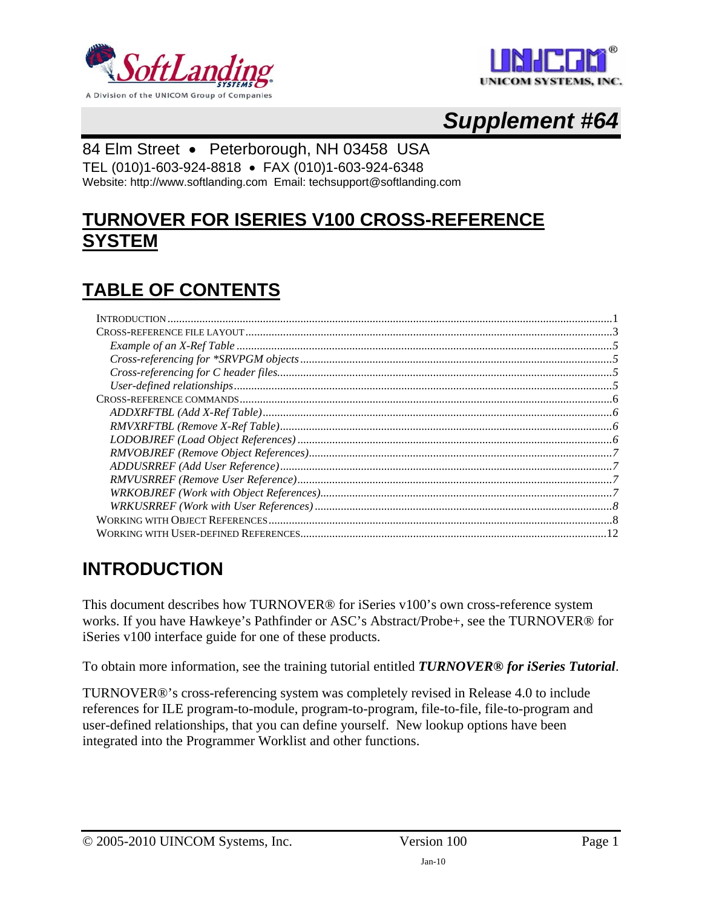<span id="page-0-0"></span>



# *Supplement #64*

#### 84 Elm Street • Peterborough, NH 03458 USA

TEL (010)1-603-924-8818 • FAX (010)1-603-924-6348

Website: http://www.softlanding.com Email: techsupport@softlanding.com

## **TURNOVER FOR ISERIES V100 CROSS-REFERENCE SYSTEM**

# **TABLE OF CONTENTS**

## <span id="page-0-1"></span>**INTRODUCTION**

This document describes how TURNOVER® for iSeries v100's own cross-reference system works. If you have Hawkeye's Pathfinder or ASC's Abstract/Probe+, see the TURNOVER® for iSeries v100 interface guide for one of these products.

To obtain more information, see the training tutorial entitled *TURNOVER® for iSeries Tutorial*.

TURNOVER®'s cross-referencing system was completely revised in Release 4.0 to include references for ILE program-to-module, program-to-program, file-to-file, file-to-program and user-defined relationships, that you can define yourself. New lookup options have been integrated into the Programmer Worklist and other functions.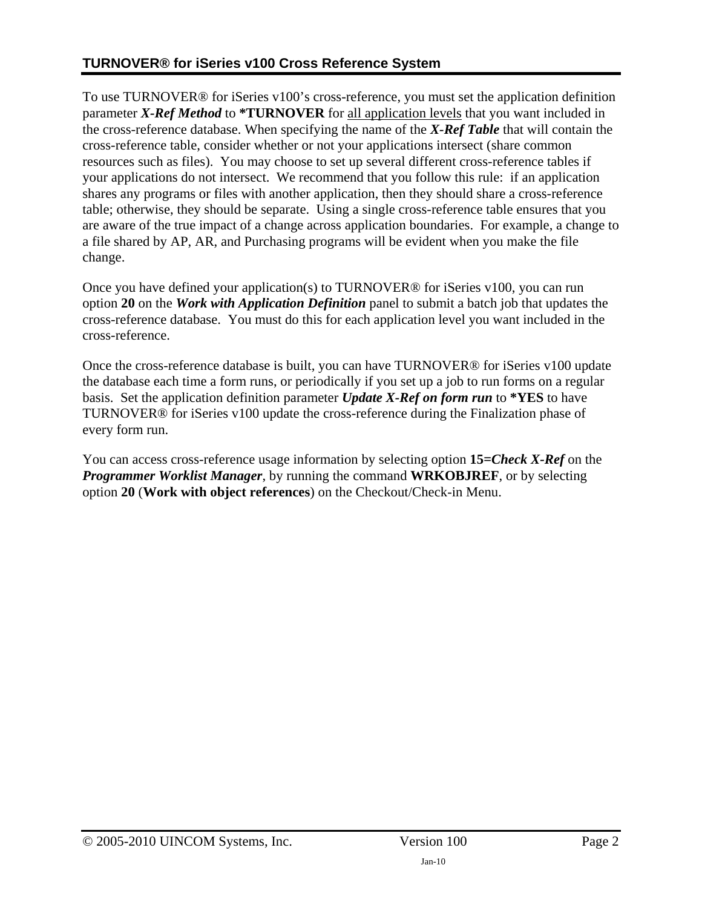To use TURNOVER® for iSeries v100's cross-reference, you must set the application definition parameter *X-Ref Method* to **\*TURNOVER** for all application levels that you want included in the cross-reference database. When specifying the name of the *X-Ref Table* that will contain the cross-reference table, consider whether or not your applications intersect (share common resources such as files). You may choose to set up several different cross-reference tables if your applications do not intersect. We recommend that you follow this rule: if an application shares any programs or files with another application, then they should share a cross-reference table; otherwise, they should be separate. Using a single cross-reference table ensures that you are aware of the true impact of a change across application boundaries. For example, a change to a file shared by AP, AR, and Purchasing programs will be evident when you make the file change.

Once you have defined your application(s) to TURNOVER® for iSeries v100, you can run option **20** on the *Work with Application Definition* panel to submit a batch job that updates the cross-reference database. You must do this for each application level you want included in the cross-reference.

Once the cross-reference database is built, you can have TURNOVER® for iSeries v100 update the database each time a form runs, or periodically if you set up a job to run forms on a regular basis. Set the application definition parameter *Update X-Ref on form run* to **\*YES** to have TURNOVER® for iSeries v100 update the cross-reference during the Finalization phase of every form run.

You can access cross-reference usage information by selecting option **15***=Check X-Ref* on the *Programmer Worklist Manager*, by running the command **WRKOBJREF**, or by selecting option **20** (**Work with object references**) on the Checkout/Check-in Menu.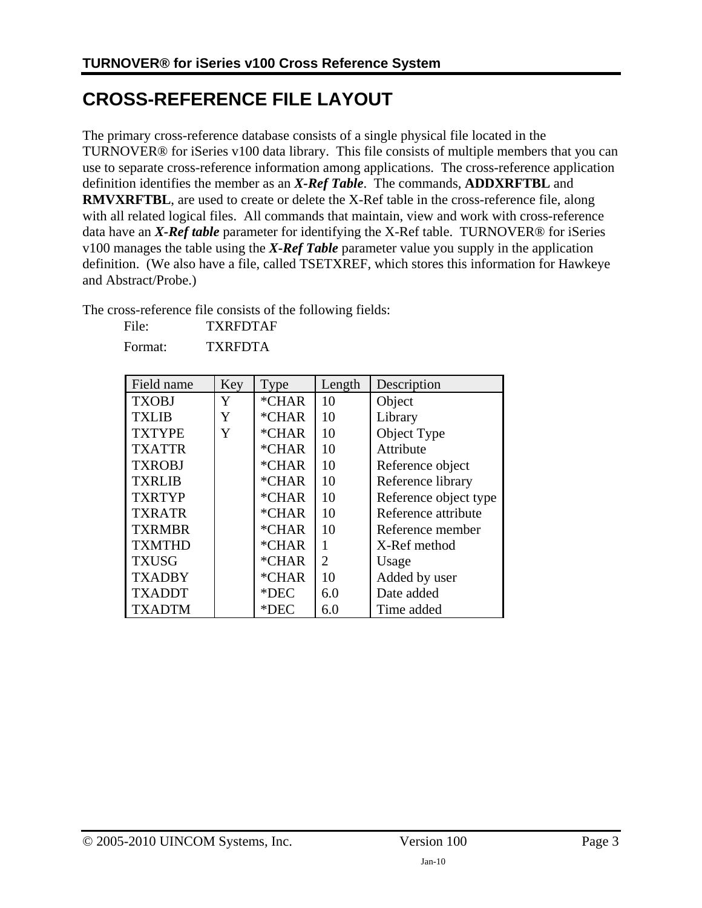# <span id="page-2-1"></span><span id="page-2-0"></span>**CROSS-REFERENCE FILE LAYOUT**

The primary cross-reference database consists of a single physical file located in the TURNOVER® for iSeries v100 data library. This file consists of multiple members that you can use to separate cross-reference information among applications. The cross-reference application definition identifies the member as an *X-Ref Table*. The commands, **ADDXRFTBL** and **RMVXRFTBL**, are used to create or delete the X-Ref table in the cross-reference file, along with all related logical files. All commands that maintain, view and work with cross-reference data have an *X-Ref table* parameter for identifying the X-Ref table. TURNOVER® for iSeries v100 manages the table using the *X-Ref Table* parameter value you supply in the application definition. (We also have a file, called TSETXREF, which stores this information for Hawkeye and Abstract/Probe.)

The cross-reference file consists of the following fields:

| File: | <b>TXRFDTAF</b> |
|-------|-----------------|
|       |                 |

Format: TXRFDTA

| Field name    | Key | Type    | Length | Description           |  |
|---------------|-----|---------|--------|-----------------------|--|
| <b>TXOBJ</b>  | Y   | *CHAR   | 10     | Object                |  |
| TXLIB         | Y   | $*CHAR$ | 10     | Library               |  |
| <b>TXTYPE</b> | Y   | *CHAR   | 10     | Object Type           |  |
| <b>TXATTR</b> |     | *CHAR   | 10     | Attribute             |  |
| <b>TXROBJ</b> |     | *CHAR   | 10     | Reference object      |  |
| <b>TXRLIB</b> |     | *CHAR   | 10     | Reference library     |  |
| <b>TXRTYP</b> |     | *CHAR   | 10     | Reference object type |  |
| <b>TXRATR</b> |     | $*CHAR$ | 10     | Reference attribute   |  |
| <b>TXRMBR</b> |     | *CHAR   | 10     | Reference member      |  |
| <b>TXMTHD</b> |     | *CHAR   | 1      | X-Ref method          |  |
| <b>TXUSG</b>  |     | *CHAR   | 2      | Usage                 |  |
| <b>TXADBY</b> |     | *CHAR   | 10     | Added by user         |  |
| <b>TXADDT</b> |     | $*$ DEC | 6.0    | Date added            |  |
| <b>TXADTM</b> |     | $*$ DEC | 6.0    | Time added            |  |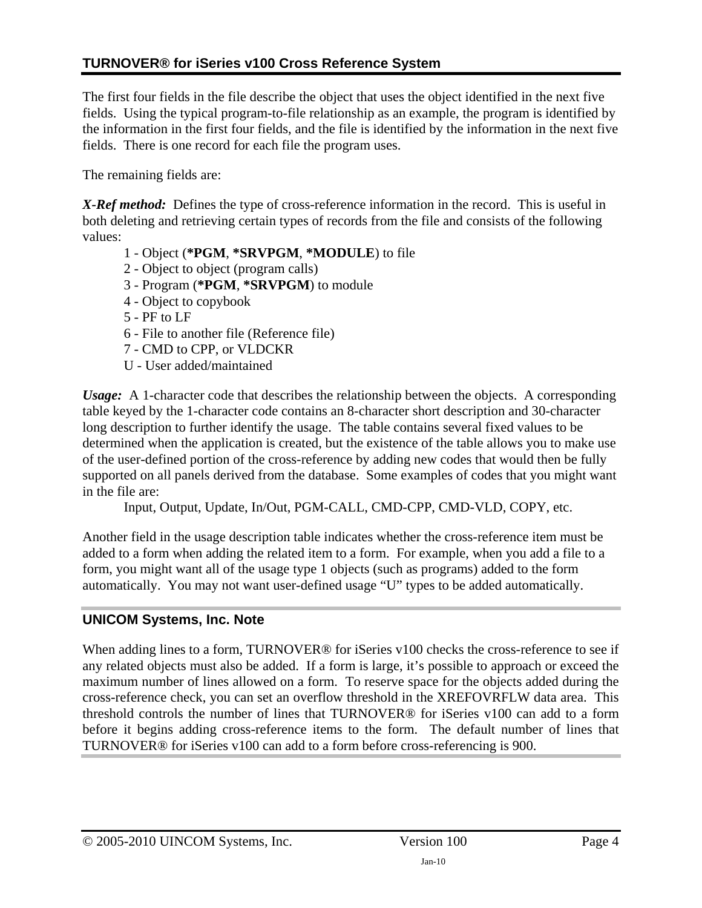The first four fields in the file describe the object that uses the object identified in the next five fields. Using the typical program-to-file relationship as an example, the program is identified by the information in the first four fields, and the file is identified by the information in the next five fields. There is one record for each file the program uses.

The remaining fields are:

*X-Ref method:* Defines the type of cross-reference information in the record. This is useful in both deleting and retrieving certain types of records from the file and consists of the following values:

- 1 Object (**\*PGM**, **\*SRVPGM**, **\*MODULE**) to file
- 2 Object to object (program calls)
- 3 Program (**\*PGM**, **\*SRVPGM**) to module
- 4 Object to copybook
- 5 PF to LF
- 6 File to another file (Reference file)
- 7 CMD to CPP, or VLDCKR
- U User added/maintained

*Usage:* A 1-character code that describes the relationship between the objects. A corresponding table keyed by the 1-character code contains an 8-character short description and 30-character long description to further identify the usage. The table contains several fixed values to be determined when the application is created, but the existence of the table allows you to make use of the user-defined portion of the cross-reference by adding new codes that would then be fully supported on all panels derived from the database. Some examples of codes that you might want in the file are:

Input, Output, Update, In/Out, PGM-CALL, CMD-CPP, CMD-VLD, COPY, etc.

Another field in the usage description table indicates whether the cross-reference item must be added to a form when adding the related item to a form. For example, when you add a file to a form, you might want all of the usage type 1 objects (such as programs) added to the form automatically. You may not want user-defined usage "U" types to be added automatically.

#### **UNICOM Systems, Inc. Note**

When adding lines to a form, TURNOVER<sup>®</sup> for iSeries v100 checks the cross-reference to see if any related objects must also be added. If a form is large, it's possible to approach or exceed the maximum number of lines allowed on a form. To reserve space for the objects added during the cross-reference check, you can set an overflow threshold in the XREFOVRFLW data area. This threshold controls the number of lines that TURNOVER® for iSeries v100 can add to a form before it begins adding cross-reference items to the form. The default number of lines that TURNOVER® for iSeries v100 can add to a form before cross-referencing is 900.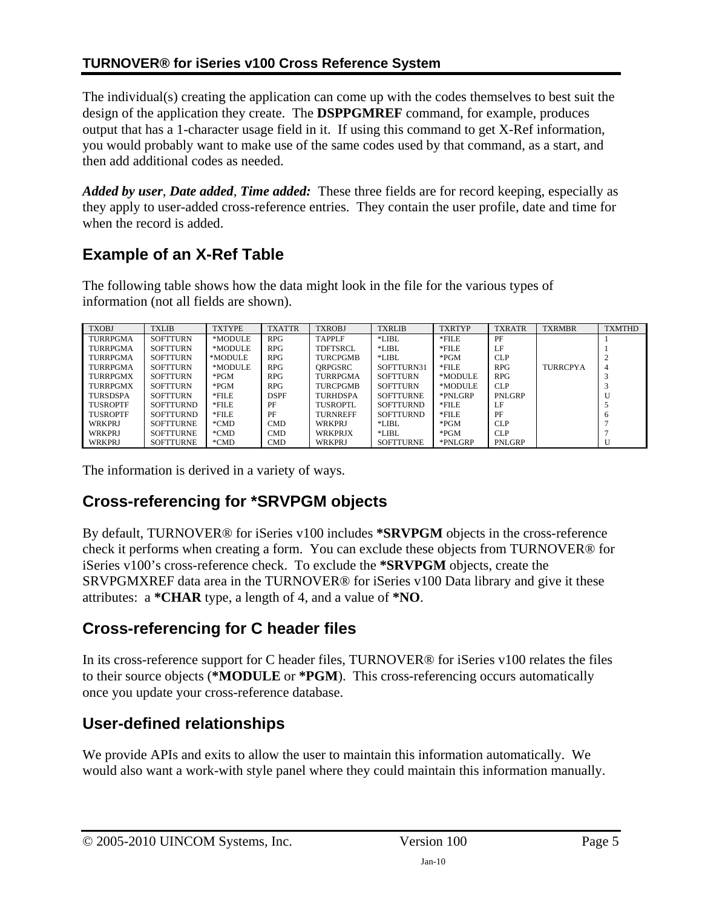#### <span id="page-4-0"></span>**TURNOVER® for iSeries v100 Cross Reference System**

The individual(s) creating the application can come up with the codes themselves to best suit the design of the application they create. The **DSPPGMREF** command, for example, produces output that has a 1-character usage field in it. If using this command to get X-Ref information, you would probably want to make use of the same codes used by that command, as a start, and then add additional codes as needed.

*Added by user*, *Date added*, *Time added:* These three fields are for record keeping, especially as they apply to user-added cross-reference entries. They contain the user profile, date and time for when the record is added.

### <span id="page-4-1"></span>**Example of an X-Ref Table**

The following table shows how the data might look in the file for the various types of information (not all fields are shown).

| <b>TXOBJ</b>    | <b>TXLIB</b>     | <b>TXTYPE</b> | <b>TXATTR</b> | <b>TXROBJ</b>   | <b>TXRLIB</b>    | <b>TXRTYP</b> | <b>TXRATR</b> | <b>TXRMBR</b>   | <b>TXMTHD</b> |
|-----------------|------------------|---------------|---------------|-----------------|------------------|---------------|---------------|-----------------|---------------|
| <b>TURRPGMA</b> | <b>SOFTTURN</b>  | *MODULE       | <b>RPG</b>    | <b>TAPPLF</b>   | $*LIBL$          | *FILE         | PF            |                 |               |
| <b>TURRPGMA</b> | <b>SOFTTURN</b>  | *MODULE       | <b>RPG</b>    | <b>TDFTSRCL</b> | $*LIBL$          | $*$ FILE      | LF            |                 |               |
| <b>TURRPGMA</b> | <b>SOFTTURN</b>  | *MODULE       | RPG           | <b>TURCPGMB</b> | *LIBL            | $*PGM$        | <b>CLP</b>    |                 |               |
| <b>TURRPGMA</b> | <b>SOFTTURN</b>  | *MODULE       | RPG           | ORPGSRC         | SOFTTURN31       | $*$ FILE      | <b>RPG</b>    | <b>TURRCPYA</b> | 4             |
| <b>TURRPGMX</b> | <b>SOFTTURN</b>  | $*$ PGM       | <b>RPG</b>    | <b>TURRPGMA</b> | <b>SOFTTURN</b>  | *MODULE       | RPG           |                 |               |
| <b>TURRPGMX</b> | <b>SOFTTURN</b>  | $*PGM$        | RPG.          | <b>TURCPGMB</b> | <b>SOFTTURN</b>  | *MODULE       | CLP.          |                 |               |
| <b>TURSDSPA</b> | <b>SOFTTURN</b>  | $*$ FILE      | <b>DSPF</b>   | <b>TURHDSPA</b> | <b>SOFTTURNE</b> | *PNLGRP       | PNLGRP        |                 |               |
| <b>TUSROPTF</b> | <b>SOFTTURND</b> | $*$ FILE      | PF            | TUSROPTL        | <b>SOFTTURND</b> | $*$ FILE      | LF            |                 |               |
| <b>TUSROPTF</b> | <b>SOFTTURND</b> | $*$ FILE      | PF            | <b>TURNREFF</b> | <b>SOFTTURND</b> | *FILE         | PF            |                 |               |
| <b>WRKPRJ</b>   | <b>SOFTTURNE</b> | *CMD          | <b>CMD</b>    | <b>WRKPRJ</b>   | $*LIBL$          | $*$ PGM       | CLP.          |                 |               |
| <b>WRKPRJ</b>   | <b>SOFTTURNE</b> | *CMD          | CMD.          | <b>WRKPRJX</b>  | $*LIBL$          | $*PGM$        | CLP.          |                 |               |
| WRKPRJ          | <b>SOFTTURNE</b> | *CMD          | <b>CMD</b>    | WRKPRJ          | <b>SOFTTURNE</b> | *PNLGRP       | PNLGRP        |                 |               |

The information is derived in a variety of ways.

#### <span id="page-4-2"></span>**Cross-referencing for \*SRVPGM objects**

By default, TURNOVER® for iSeries v100 includes **\*SRVPGM** objects in the cross-reference check it performs when creating a form. You can exclude these objects from TURNOVER® for iSeries v100's cross-reference check. To exclude the **\*SRVPGM** objects, create the SRVPGMXREF data area in the TURNOVER® for iSeries v100 Data library and give it these attributes: a **\*CHAR** type, a length of 4, and a value of **\*NO**.

#### <span id="page-4-3"></span>**Cross-referencing for C header files**

In its cross-reference support for C header files, TURNOVER® for iSeries v100 relates the files to their source objects (**\*MODULE** or **\*PGM**). This cross-referencing occurs automatically once you update your cross-reference database.

#### <span id="page-4-4"></span>**User-defined relationships**

We provide APIs and exits to allow the user to maintain this information automatically. We would also want a work-with style panel where they could maintain this information manually.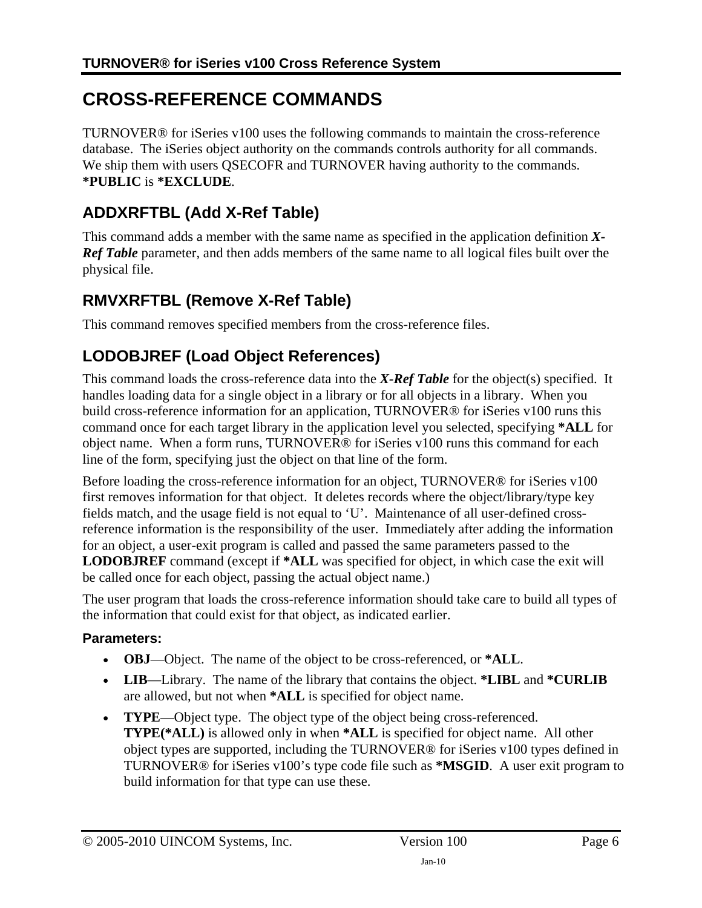# <span id="page-5-1"></span><span id="page-5-0"></span>**CROSS-REFERENCE COMMANDS**

TURNOVER® for iSeries v100 uses the following commands to maintain the cross-reference database. The iSeries object authority on the commands controls authority for all commands. We ship them with users OSECOFR and TURNOVER having authority to the commands. **\*PUBLIC** is **\*EXCLUDE**.

### <span id="page-5-2"></span>**ADDXRFTBL (Add X-Ref Table)**

This command adds a member with the same name as specified in the application definition *X-Ref Table* parameter, and then adds members of the same name to all logical files built over the physical file.

### <span id="page-5-3"></span>**RMVXRFTBL (Remove X-Ref Table)**

This command removes specified members from the cross-reference files.

#### <span id="page-5-4"></span>**LODOBJREF (Load Object References)**

This command loads the cross-reference data into the *X-Ref Table* for the object(s) specified. It handles loading data for a single object in a library or for all objects in a library. When you build cross-reference information for an application, TURNOVER® for iSeries v100 runs this command once for each target library in the application level you selected, specifying **\*ALL** for object name. When a form runs, TURNOVER® for iSeries v100 runs this command for each line of the form, specifying just the object on that line of the form.

Before loading the cross-reference information for an object, TURNOVER® for iSeries v100 first removes information for that object. It deletes records where the object/library/type key fields match, and the usage field is not equal to 'U'. Maintenance of all user-defined crossreference information is the responsibility of the user. Immediately after adding the information for an object, a user-exit program is called and passed the same parameters passed to the **LODOBJREF** command (except if **\*ALL** was specified for object, in which case the exit will be called once for each object, passing the actual object name.)

The user program that loads the cross-reference information should take care to build all types of the information that could exist for that object, as indicated earlier.

#### **Parameters:**

- **OBJ**—Object. The name of the object to be cross-referenced, or **\*ALL**.
- **LIB**—Library. The name of the library that contains the object. **\*LIBL** and **\*CURLIB** are allowed, but not when **\*ALL** is specified for object name.
- **TYPE**—Object type. The object type of the object being cross-referenced. **TYPE(\*ALL)** is allowed only in when **\*ALL** is specified for object name. All other object types are supported, including the TURNOVER® for iSeries v100 types defined in TURNOVER® for iSeries v100's type code file such as **\*MSGID**. A user exit program to build information for that type can use these.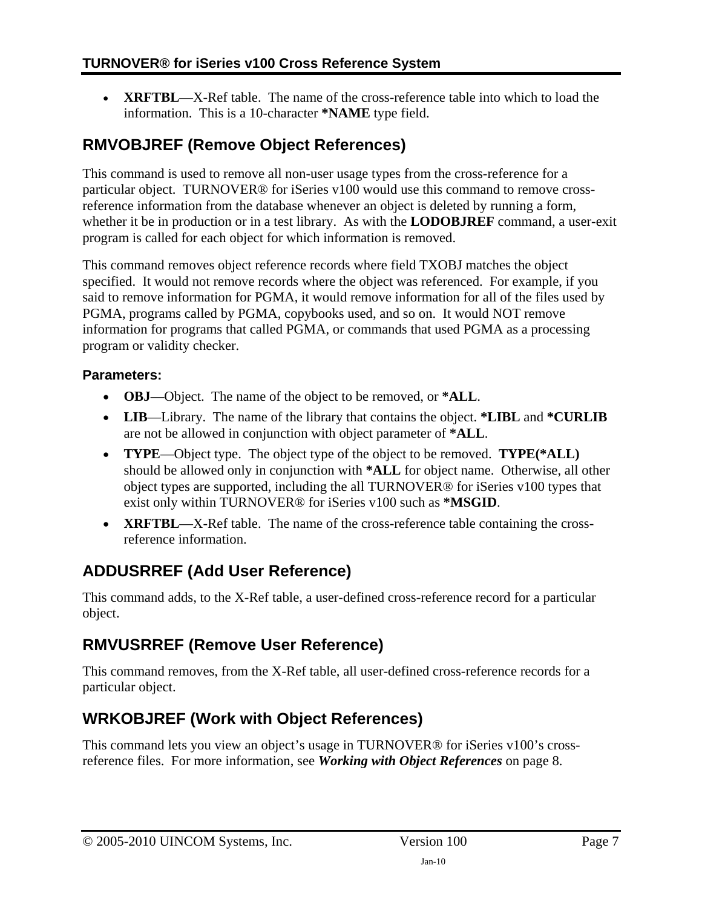<span id="page-6-0"></span>• **XRFTBL**—X-Ref table. The name of the cross-reference table into which to load the information. This is a 10-character **\*NAME** type field.

### <span id="page-6-1"></span>**RMVOBJREF (Remove Object References)**

This command is used to remove all non-user usage types from the cross-reference for a particular object. TURNOVER® for iSeries v100 would use this command to remove crossreference information from the database whenever an object is deleted by running a form, whether it be in production or in a test library. As with the **LODOBJREF** command, a user-exit program is called for each object for which information is removed.

This command removes object reference records where field TXOBJ matches the object specified. It would not remove records where the object was referenced. For example, if you said to remove information for PGMA, it would remove information for all of the files used by PGMA, programs called by PGMA, copybooks used, and so on. It would NOT remove information for programs that called PGMA, or commands that used PGMA as a processing program or validity checker.

#### **Parameters:**

- **OBJ**—Object. The name of the object to be removed, or **\*ALL**.
- **LIB**—Library. The name of the library that contains the object. **\*LIBL** and **\*CURLIB** are not be allowed in conjunction with object parameter of **\*ALL**.
- **TYPE**—Object type. The object type of the object to be removed. **TYPE(\*ALL)** should be allowed only in conjunction with **\*ALL** for object name. Otherwise, all other object types are supported, including the all TURNOVER® for iSeries v100 types that exist only within TURNOVER® for iSeries v100 such as **\*MSGID**.
- **XRFTBL**—X-Ref table. The name of the cross-reference table containing the crossreference information.

#### <span id="page-6-2"></span>**ADDUSRREF (Add User Reference)**

This command adds, to the X-Ref table, a user-defined cross-reference record for a particular object.

#### <span id="page-6-3"></span>**RMVUSRREF (Remove User Reference)**

This command removes, from the X-Ref table, all user-defined cross-reference records for a particular object.

### <span id="page-6-4"></span>**WRKOBJREF (Work with Object References)**

This command lets you view an object's usage in TURNOVER® for iSeries v100's crossreference files. For more information, see *[Working with Object References](#page-7-2)* on page [8.](#page-7-2)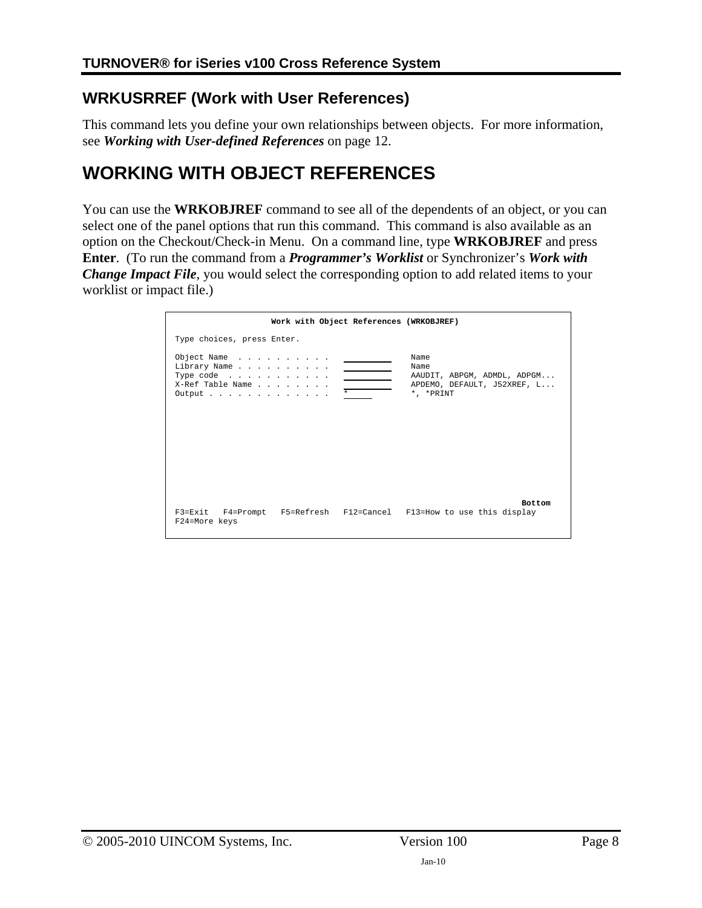#### <span id="page-7-1"></span><span id="page-7-0"></span>**WRKUSRREF (Work with User References)**

This command lets you define your own relationships between objects. For more information, see *[Working with User-defined References](#page-11-1)* on page [12.](#page-11-1)

## <span id="page-7-2"></span>**WORKING WITH OBJECT REFERENCES**

You can use the **WRKOBJREF** command to see all of the dependents of an object, or you can select one of the panel options that run this command. This command is also available as an option on the Checkout/Check-in Menu. On a command line, type **WRKOBJREF** and press **Enter**. (To run the command from a *Programmer's Worklist* or Synchronizer's *Work with Change Impact File*, you would select the corresponding option to add related items to your worklist or impact file.)

|                                                                                   | Work with Object References (WRKOBJREF) |         |                                                                                         |
|-----------------------------------------------------------------------------------|-----------------------------------------|---------|-----------------------------------------------------------------------------------------|
| Type choices, press Enter.                                                        |                                         |         |                                                                                         |
| Object Name<br>Library Name<br>Type code<br>X-Ref Table Name<br>Output :  :  :  : |                                         | $\star$ | Name<br>Name<br>AAUDIT, ABPGM, ADMDL, ADPGM<br>APDEMO, DEFAULT, J52XREF, L<br>*, *PRINT |
| F24=More keys                                                                     |                                         |         | <b>Bottom</b><br>F3=Exit F4=Prompt F5=Refresh F12=Cancel F13=How to use this display    |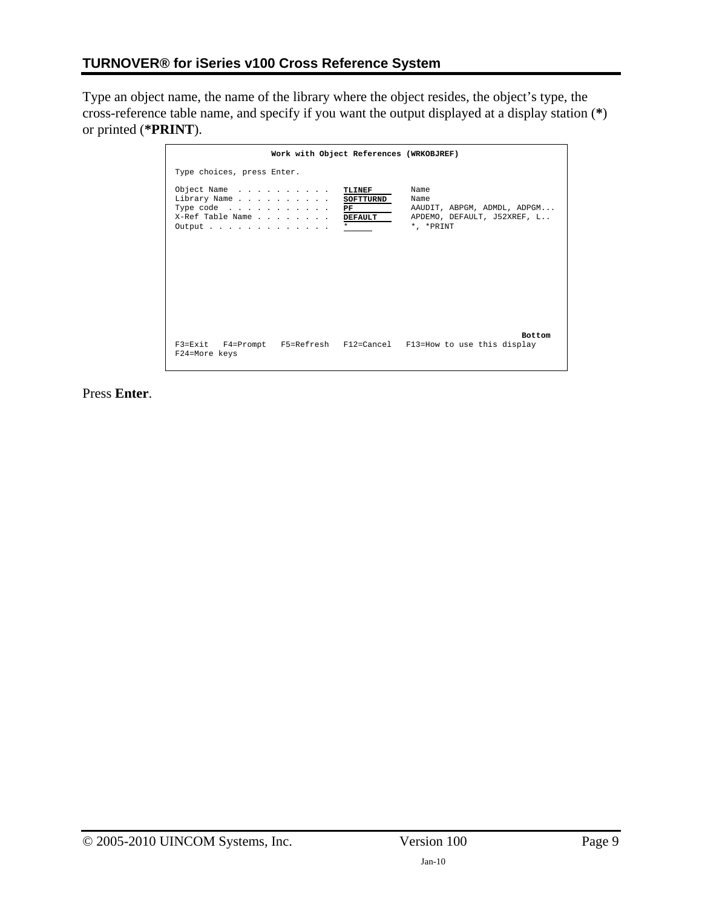Type an object name, the name of the library where the object resides, the object's type, the cross-reference table name, and specify if you want the output displayed at a display station (**\***) or printed (**\*PRINT**).

|                                                                                                                   | Work with Object References (WRKOBJREF)         |                                                                                           |
|-------------------------------------------------------------------------------------------------------------------|-------------------------------------------------|-------------------------------------------------------------------------------------------|
| Type choices, press Enter.                                                                                        |                                                 |                                                                                           |
| Object Name<br>Library Name<br>Type code $\dots$ $\dots$ $\dots$ $\dots$<br>X-Ref Table Name<br>Output :  :  :  : | TLINEF<br>SOFTTURND<br>PF<br>DEFAULT<br>$\star$ | Name<br>Name<br>AAUDIT, ABPGM, ADMDL, ADPGM<br>APDEMO, DEFAULT, J52XREF, L<br>* . * PRINT |
| F24=More keys                                                                                                     |                                                 | <b>Bottom</b><br>F3=Exit F4=Prompt F5=Refresh F12=Cancel F13=How to use this display      |

Press **Enter**.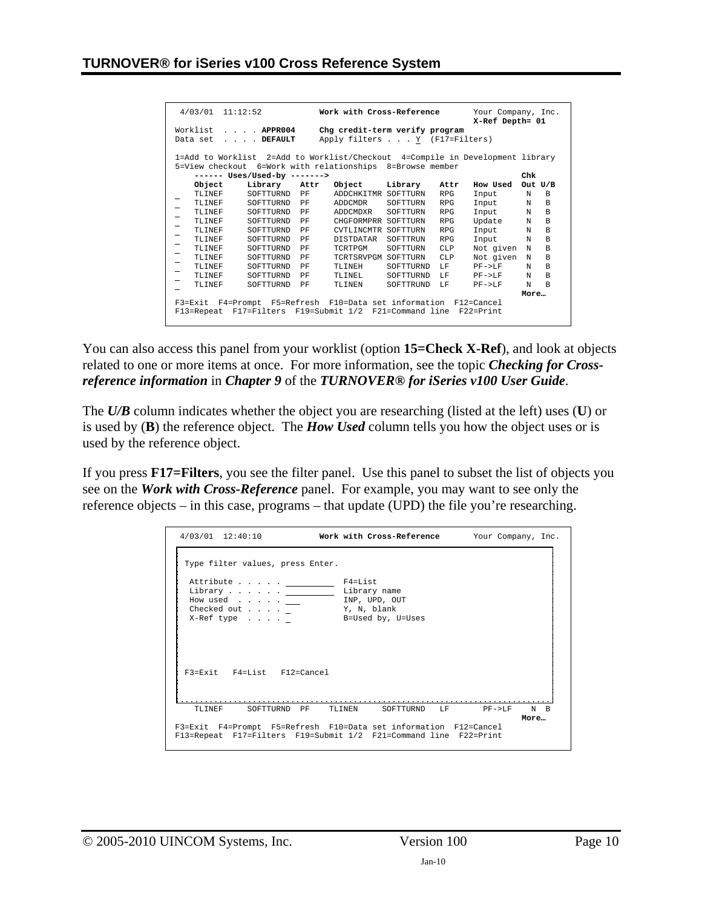| 4/03/01                                                | 11:12:52                                                                      |      | Work with Cross-Reference      |           |                 | Your Company, Inc.<br>X-Ref Depth= 01 |            |                |
|--------------------------------------------------------|-------------------------------------------------------------------------------|------|--------------------------------|-----------|-----------------|---------------------------------------|------------|----------------|
| Worklist                                               | $\ldots$ $APPR004$                                                            |      | Chg credit-term verify program |           |                 |                                       |            |                |
| Apply filters Y (F17=Filters)<br>. DEFAULT<br>Data set |                                                                               |      |                                |           |                 |                                       |            |                |
|                                                        |                                                                               |      |                                |           |                 |                                       |            |                |
|                                                        | 1=Add to Worklist 2=Add to Worklist/Checkout 4=Compile in Development library |      |                                |           |                 |                                       |            |                |
|                                                        | 5=View checkout 6=Work with relationships 8=Browse member                     |      |                                |           |                 |                                       |            |                |
|                                                        | ------ Uses/Used-by ------->                                                  |      |                                |           |                 |                                       | Chk        |                |
| Object                                                 | Library                                                                       | Attr | Object                         | Library   | Attr            | How Used                              | Out $U/B$  |                |
| TLINEF                                                 | SOFTTURND                                                                     | PF   | ADDCHKITMR SOFTTURN            |           | <b>RPG</b>      | Input                                 | N          | <sub>B</sub>   |
| TLINEF                                                 | SOFTTURND                                                                     | PF   | ADDCMDR                        | SOFTTURN  | <b>RPG</b>      | Input                                 | N          | B              |
| TLINEF                                                 | SOFTTURND                                                                     | PF   | ADDCMDXR                       | SOFTTURN  | <b>RPG</b>      | Input                                 | N          | B              |
| TLINEF                                                 | SOFTTURND                                                                     | PF   | CHGFORMPRR SOFTTURN            |           | <b>RPG</b>      | Update                                | N          | B              |
| TLINEF                                                 | SOFTTURND                                                                     | PF   | CVTLINCMTR SOFTTURN            |           | <b>RPG</b>      | Input                                 | N          | B              |
| TLINEF                                                 | SOFTTURND                                                                     | PF   | <b>DISTDATAR</b>               | SOFTTRUN  | <b>RPG</b>      | Input                                 | N          | B              |
| TLINEF                                                 | SOFTTURND                                                                     | PF   | <b>TCRTPGM</b>                 | SOFTTURN  | CLP             | Not given                             | N          | B              |
| TLINEF                                                 | SOFTTURND                                                                     | PF   | TCRTSRVPGM SOFTTURN            |           | CT <sub>P</sub> | Not given                             | N          | B              |
| TLINEF                                                 | SOFTTURND                                                                     | PF   | TLTNEH                         | SOFTTURND | LF.             | $PF->LF$                              | $_{\rm N}$ | B              |
| TLINEF                                                 | SOFTTURND                                                                     | PF   | TLINEL.                        | SOFTTURND | T.F             | $PF->LF$                              | N          | $\overline{B}$ |
| TLINEF                                                 | SOFTTURND                                                                     | PF   | <b>TLINEN</b>                  | SOFTTRUND | T.F             | $PF->LF$                              | N          | B              |
|                                                        |                                                                               |      |                                |           |                 |                                       | More       |                |
|                                                        | F3=Exit F4=Prompt F5=Refresh F10=Data set information F12=Cancel              |      |                                |           |                 |                                       |            |                |
|                                                        | F13=Repeat F17=Filters F19=Submit 1/2 F21=Command line                        |      |                                |           |                 | F22=Print                             |            |                |

You can also access this panel from your worklist (option **15=Check X-Ref**), and look at objects related to one or more items at once. For more information, see the topic *Checking for Crossreference information* in *Chapter 9* of the *TURNOVER® for iSeries v100 User Guide*.

The *U/B* column indicates whether the object you are researching (listed at the left) uses (**U**) or is used by (**B**) the reference object. The *How Used* column tells you how the object uses or is used by the reference object.

If you press **F17=Filters**, you see the filter panel. Use this panel to subset the list of objects you see on the *Work with Cross-Reference* panel. For example, you may want to see only the reference objects – in this case, programs – that update (UPD) the file you're researching.

| $4/03/01$ 12:40:10                                                                                                                                | Work with Cross-Reference Your Company, Inc. |                         |
|---------------------------------------------------------------------------------------------------------------------------------------------------|----------------------------------------------|-------------------------|
| Type filter values, press Enter.<br>Attribute F4=List<br>Library Library name<br>How used<br>Checked out $\ldots$ . The Y, N, blank<br>X-Ref type | INP, UPD, OUT<br>B=Used by, U=Uses           |                         |
| F3=Exit F4=List F12=Cancel                                                                                                                        |                                              |                         |
| TLINEF<br>SOFTTURND PF                                                                                                                            | TLINEN                                       | SOFTTURND LF PF->LF N B |
| F3=Exit F4=Prompt F5=Refresh F10=Data set information F12=Cancel<br>F13=Repeat F17=Filters F19=Submit 1/2 F21=Command line F22=Print              |                                              | More                    |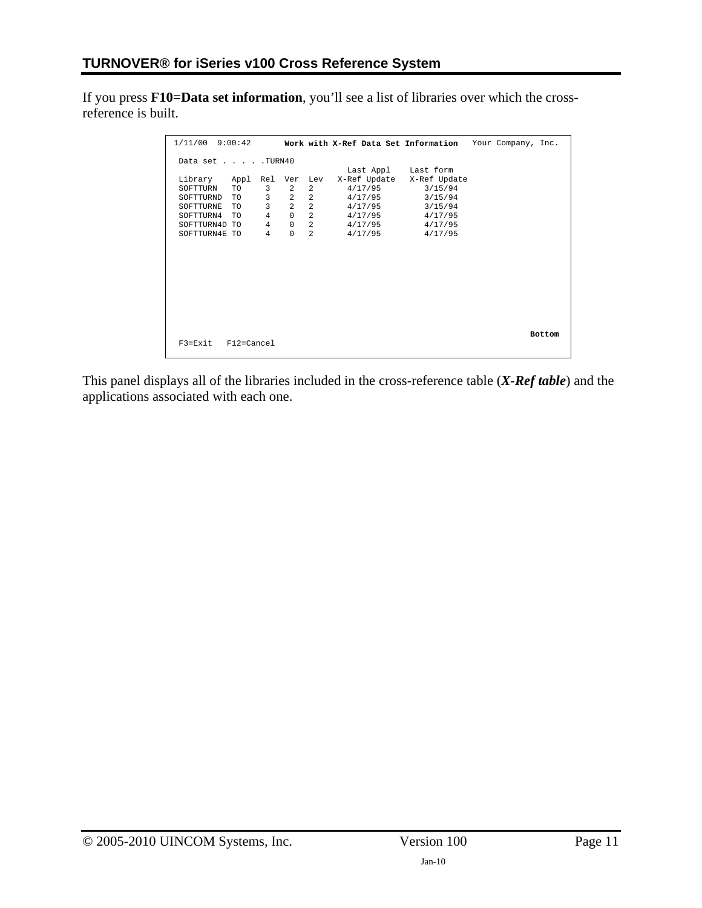If you press **F10=Data set information**, you'll see a list of libraries over which the crossreference is built.

| $1/11/00$ 9:00:42                 |                                              |                | Work with X-Ref Data Set Information Your Company, Inc. |                           |  |        |
|-----------------------------------|----------------------------------------------|----------------|---------------------------------------------------------|---------------------------|--|--------|
| Data set TURN40                   |                                              |                |                                                         |                           |  |        |
|                                   |                                              |                | Last Appl Last form                                     |                           |  |        |
| Library Appl Rel Ver Lev          |                                              |                |                                                         | X-Ref Update X-Ref Update |  |        |
| SOFTTURN<br>TO TO                 | 3 <sup>7</sup><br>$\mathbf{2}$               | $\overline{a}$ | 4/17/95                                                 | 3/15/94                   |  |        |
| SOFTTURND<br>TO TO                | $3^{\circ}$                                  | $2 \quad 2$    | 4/17/95 3/15/94                                         |                           |  |        |
| TO TO<br>SOFTTURNE                | $\overline{3}$<br>$\overline{\phantom{a}}$ 2 | 2              | 4/17/95                                                 | 3/15/94                   |  |        |
| SOFTTURN4<br>TO TO                | $\overline{4}$<br>$\overline{0}$             | 2              | 4/17/95                                                 | 4/17/95                   |  |        |
| SOFTTURN4D TO                     | $\overline{4}$<br>0                          | $2^{\circ}$    | 4/17/95                                                 | 4/17/95                   |  |        |
| SOFTTURN4E TO                     | $\overline{4}$<br>$\mathbf 0$                | 2              | 4/17/95                                                 | 4/17/95                   |  |        |
|                                   |                                              |                |                                                         |                           |  |        |
|                                   |                                              |                |                                                         |                           |  |        |
|                                   |                                              |                |                                                         |                           |  |        |
|                                   |                                              |                |                                                         |                           |  |        |
|                                   |                                              |                |                                                         |                           |  |        |
|                                   |                                              |                |                                                         |                           |  |        |
|                                   |                                              |                |                                                         |                           |  |        |
|                                   |                                              |                |                                                         |                           |  |        |
|                                   |                                              |                |                                                         |                           |  |        |
|                                   |                                              |                |                                                         |                           |  |        |
|                                   |                                              |                |                                                         |                           |  | Bottom |
| F12=Cancel<br>$F3 = F \times i t$ |                                              |                |                                                         |                           |  |        |
|                                   |                                              |                |                                                         |                           |  |        |

This panel displays all of the libraries included in the cross-reference table (*X-Ref table*) and the applications associated with each one.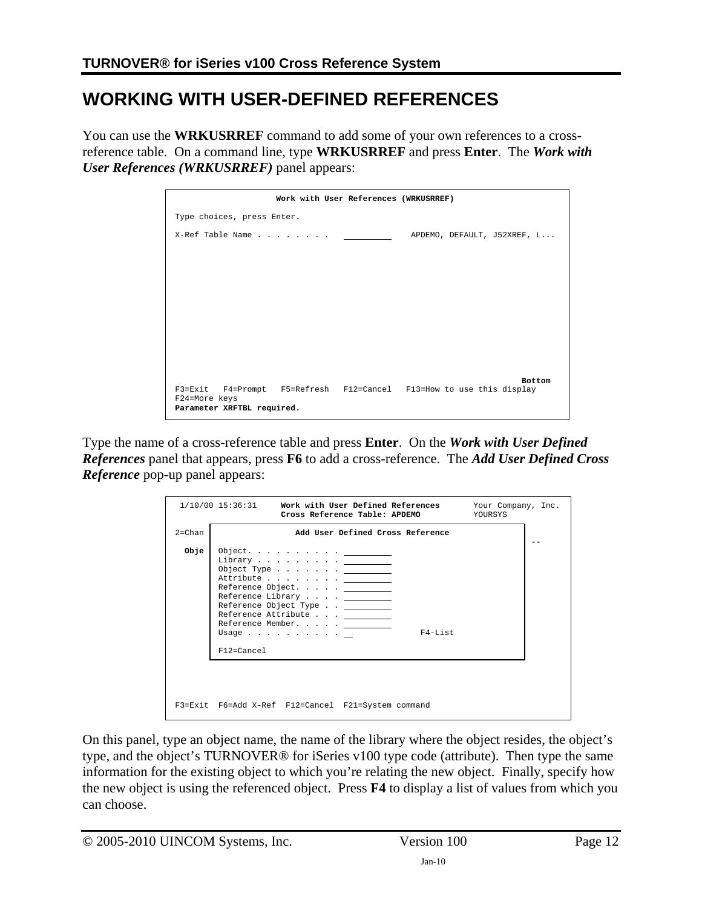## <span id="page-11-1"></span><span id="page-11-0"></span>**WORKING WITH USER-DEFINED REFERENCES**

You can use the **WRKUSRREF** command to add some of your own references to a crossreference table. On a command line, type **WRKUSRREF** and press **Enter**. The *Work with User References (WRKUSRREF)* panel appears:

| Work with User References (WRKUSRREF)                               |                             |
|---------------------------------------------------------------------|-----------------------------|
| Type choices, press Enter.                                          |                             |
| X-Ref Table Name                                                    | APDEMO, DEFAULT, J52XREF, L |
|                                                                     |                             |
|                                                                     |                             |
|                                                                     |                             |
|                                                                     |                             |
|                                                                     |                             |
|                                                                     |                             |
|                                                                     |                             |
|                                                                     | <b>Bottom</b>               |
| F3=Exit F4=Prompt F5=Refresh F12=Cancel F13=How to use this display |                             |
| F24=More keys<br>Parameter XRFTBL required.                         |                             |

Type the name of a cross-reference table and press **Enter**. On the *Work with User Defined References* panel that appears, press **F6** to add a cross-reference. The *Add User Defined Cross Reference* pop-up panel appears:

|            | $1/10/00$ $15:36:31$<br>Work with User Defined References<br>Cross Reference Table: APDEMO                                                                                                                                                                      | Your Company, Inc.<br>YOURSYS |
|------------|-----------------------------------------------------------------------------------------------------------------------------------------------------------------------------------------------------------------------------------------------------------------|-------------------------------|
| $2 = Chan$ | Add User Defined Cross Reference                                                                                                                                                                                                                                |                               |
| Obje       | Object. <u>_______</u><br>Library<br>Object Type $\ldots$ $\ldots$ $\ldots$<br>Attribute<br>Reference Object. <u>.</u><br>Reference Library<br>Reference Object Type<br>Reference Attribute<br>Reference Member. <u>.</u><br>F4-List<br>Usage<br>$F12 = Cancel$ |                               |
|            | F3=Exit F6=Add X-Ref F12=Cancel F21=System command                                                                                                                                                                                                              |                               |

On this panel, type an object name, the name of the library where the object resides, the object's type, and the object's TURNOVER® for iSeries v100 type code (attribute). Then type the same information for the existing object to which you're relating the new object. Finally, specify how the new object is using the referenced object. Press **F4** to display a list of values from which you can choose.